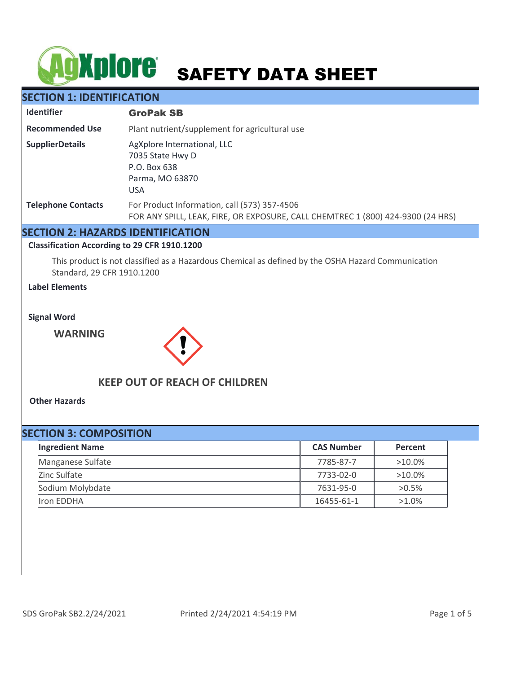# **SAFETY DATA SHEET**

## **SECTION 1: IDENTIFICATION**

| <b>Identifier</b>         | <b>GroPak SB</b>                                                                                                                |  |
|---------------------------|---------------------------------------------------------------------------------------------------------------------------------|--|
| <b>Recommended Use</b>    | Plant nutrient/supplement for agricultural use                                                                                  |  |
| <b>SupplierDetails</b>    | AgXplore International, LLC<br>7035 State Hwy D<br>P.O. Box 638<br>Parma, MO 63870<br><b>USA</b>                                |  |
| <b>Telephone Contacts</b> | For Product Information, call (573) 357-4506<br>FOR ANY SPILL, LEAK, FIRE, OR EXPOSURE, CALL CHEMTREC 1 (800) 424-9300 (24 HRS) |  |

## **SECTION 2: HAZARDS IDENTIFICATION**

#### **Classification According to 29 CFR 1910.1200**

This product is not classified as a Hazardous Chemical as defined by the OSHA Hazard Communication Standard, 29 CFR 1910.1200

### **Label Elements**

**Signal Word**

**WARNING**



## **KEEP OUT OF REACH OF CHILDREN**

**Other Hazards**

| <b>SECTION 3: COMPOSITION</b> |                        |                   |           |  |  |  |
|-------------------------------|------------------------|-------------------|-----------|--|--|--|
|                               | <b>Ingredient Name</b> | <b>CAS Number</b> | Percent   |  |  |  |
|                               | Manganese Sulfate      | 7785-87-7         | $>10.0\%$ |  |  |  |
|                               | Zinc Sulfate           | 7733-02-0         | $>10.0\%$ |  |  |  |
|                               | Sodium Molybdate       | 7631-95-0         | $>0.5\%$  |  |  |  |
|                               | Iron EDDHA             | 16455-61-1        | $>1.0\%$  |  |  |  |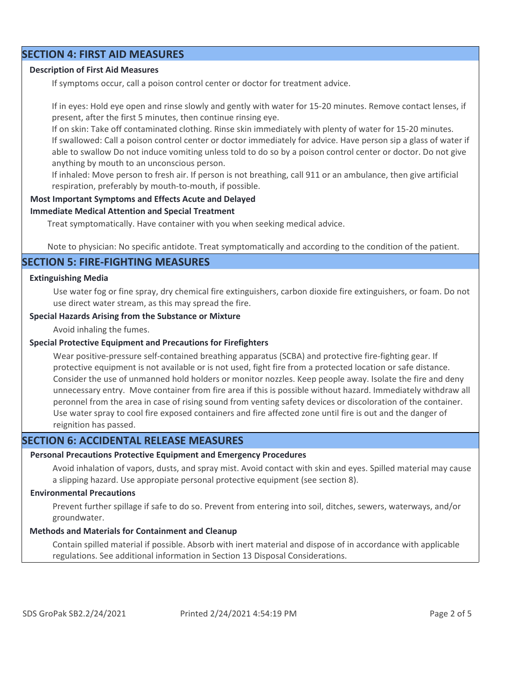## **SECTION 4: FIRST AID MEASURES**

#### **Description of First Aid Measures**

If symptoms occur, call a poison control center or doctor for treatment advice.

If in eyes: Hold eye open and rinse slowly and gently with water for 15-20 minutes. Remove contact lenses, if present, after the first 5 minutes, then continue rinsing eye.

If on skin: Take off contaminated clothing. Rinse skin immediately with plenty of water for 15-20 minutes. If swallowed: Call a poison control center or doctor immediately for advice. Have person sip a glass of water if able to swallow Do not induce vomiting unless told to do so by a poison control center or doctor. Do not give anything by mouth to an unconscious person.

If inhaled: Move person to fresh air. If person is not breathing, call 911 or an ambulance, then give artificial respiration, preferably by mouth-to-mouth, if possible.

#### **Most Important Symptoms and Effects Acute and Delayed**

#### **Immediate Medical Attention and Special Treatment**

Treat symptomatically. Have container with you when seeking medical advice.

Note to physician: No specific antidote. Treat symptomatically and according to the condition of the patient.

#### **SECTION 5: FIRE-FIGHTING MEASURES**

#### **Extinguishing Media**

Use water fog or fine spray, dry chemical fire extinguishers, carbon dioxide fire extinguishers, or foam. Do not use direct water stream, as this may spread the fire.

#### **Special Hazards Arising from the Substance or Mixture**

Avoid inhaling the fumes.

#### **Special Protective Equipment and Precautions for Firefighters**

Wear positive-pressure self-contained breathing apparatus (SCBA) and protective fire-fighting gear. If protective equipment is not available or is not used, fight fire from a protected location or safe distance. Consider the use of unmanned hold holders or monitor nozzles. Keep people away. Isolate the fire and deny unnecessary entry. Move container from fire area if this is possible without hazard. Immediately withdraw all peronnel from the area in case of rising sound from venting safety devices or discoloration of the container. Use water spray to cool fire exposed containers and fire affected zone until fire is out and the danger of reignition has passed.

## **SECTION 6: ACCIDENTAL RELEASE MEASURES**

#### **Personal Precautions Protective Equipment and Emergency Procedures**

Avoid inhalation of vapors, dusts, and spray mist. Avoid contact with skin and eyes. Spilled material may cause a slipping hazard. Use appropiate personal protective equipment (see section 8).

#### **Environmental Precautions**

Prevent further spillage if safe to do so. Prevent from entering into soil, ditches, sewers, waterways, and/or groundwater.

#### **Methods and Materials for Containment and Cleanup**

Contain spilled material if possible. Absorb with inert material and dispose of in accordance with applicable regulations. See additional information in Section 13 Disposal Considerations.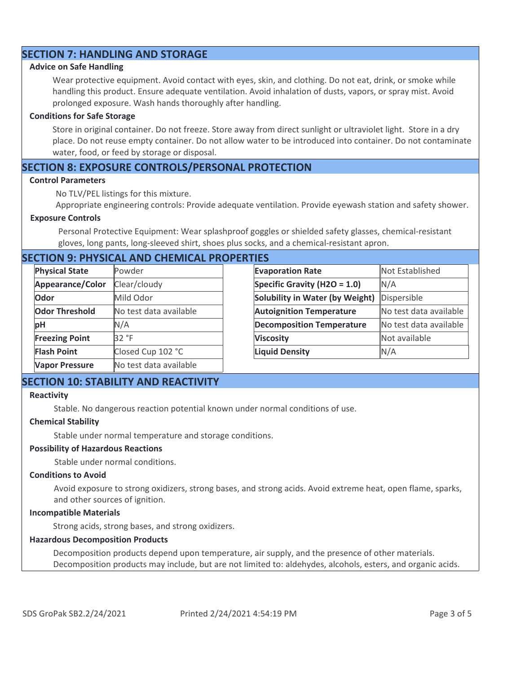## **SECTION 7: HANDLING AND STORAGE**

#### **Advice on Safe Handling**

Wear protective equipment. Avoid contact with eyes, skin, and clothing. Do not eat, drink, or smoke while handling this product. Ensure adequate ventilation. Avoid inhalation of dusts, vapors, or spray mist. Avoid prolonged exposure. Wash hands thoroughly after handling.

#### **Conditions for Safe Storage**

Store in original container. Do not freeze. Store away from direct sunlight or ultraviolet light. Store in a dry place. Do not reuse empty container. Do not allow water to be introduced into container. Do not contaminate water, food, or feed by storage or disposal.

## **SECTION 8: EXPOSURE CONTROLS/PERSONAL PROTECTION**

#### **Control Parameters**

No TLV/PEL listings for this mixture.

Appropriate engineering controls: Provide adequate ventilation. Provide eyewash station and safety shower.

#### **Exposure Controls**

Personal Protective Equipment: Wear splashproof goggles or shielded safety glasses, chemical-resistant gloves, long pants, long-sleeved shirt, shoes plus socks, and a chemical-resistant apron.

## **SECTION 9: PHYSICAL AND CHEMICAL PROPERTIES**

| <b>Physical State</b> | Powder                 | <b>Evaporation Rate</b>          | Not Established        |
|-----------------------|------------------------|----------------------------------|------------------------|
| Appearance/Color      | Clear/cloudy           | Specific Gravity (H2O = $1.0$ )  | N/A                    |
| Odor                  | Mild Odor              | Solubility in Water (by Weight)  | Dispersible            |
| <b>Odor Threshold</b> | No test data available | <b>Autoignition Temperature</b>  | No test data available |
| pH                    | N/A                    | <b>Decomposition Temperature</b> | No test data available |
| <b>Freezing Point</b> | 32 °F                  | <b>Viscosity</b>                 | Not available          |
| <b>Flash Point</b>    | Closed Cup 102 °C      | <b>Liquid Density</b>            | N/A                    |
| <b>Vapor Pressure</b> | No test data available |                                  |                        |

## **SECTION 10: STABILITY AND REACTIVITY**

#### **Reactivity**

Stable. No dangerous reaction potential known under normal conditions of use.

#### **Chemical Stability**

Stable under normal temperature and storage conditions.

#### **Possibility of Hazardous Reactions**

Stable under normal conditions.

#### **Conditions to Avoid**

Avoid exposure to strong oxidizers, strong bases, and strong acids. Avoid extreme heat, open flame, sparks, and other sources of ignition.

#### **Incompatible Materials**

Strong acids, strong bases, and strong oxidizers.

#### **Hazardous Decomposition Products**

Decomposition products depend upon temperature, air supply, and the presence of other materials. Decomposition products may include, but are not limited to: aldehydes, alcohols, esters, and organic acids.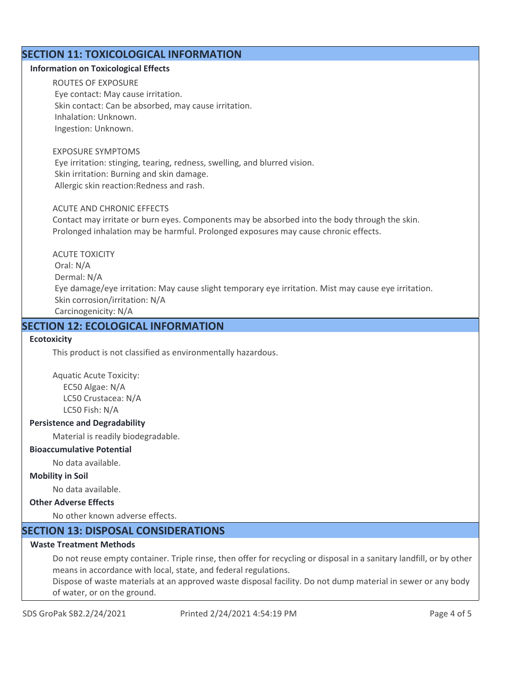## **SECTION 11: TOXICOLOGICAL INFORMATION**

#### **Information on Toxicological Effects**

ROUTES OF EXPOSURE Eye contact: May cause irritation. Skin contact: Can be absorbed, may cause irritation. Inhalation: Unknown. Ingestion: Unknown.

#### EXPOSURE SYMPTOMS

 Eye irritation: stinging, tearing, redness, swelling, and blurred vision. Skin irritation: Burning and skin damage. Allergic skin reaction:Redness and rash.

#### ACUTE AND CHRONIC EFFECTS

Contact may irritate or burn eyes. Components may be absorbed into the body through the skin. Prolonged inhalation may be harmful. Prolonged exposures may cause chronic effects.

ACUTE TOXICITY Oral: N/A Dermal: N/A Eye damage/eye irritation: May cause slight temporary eye irritation. Mist may cause eye irritation. Skin corrosion/irritation: N/A Carcinogenicity: N/A

## **SECTION 12: ECOLOGICAL INFORMATION**

#### **Ecotoxicity**

This product is not classified as environmentally hazardous.

Aquatic Acute Toxicity: EC50 Algae: N/A LC50 Crustacea: N/A LC50 Fish: N/A

#### **Persistence and Degradability**

Material is readily biodegradable.

#### **Bioaccumulative Potential**

No data available.

#### **Mobility in Soil**

No data available.

## **Other Adverse Effects**

No other known adverse effects.

## **SECTION 13: DISPOSAL CONSIDERATIONS**

## **Waste Treatment Methods**

Do not reuse empty container. Triple rinse, then offer for recycling or disposal in a sanitary landfill, or by other means in accordance with local, state, and federal regulations.

Dispose of waste materials at an approved waste disposal facility. Do not dump material in sewer or any body of water, or on the ground.